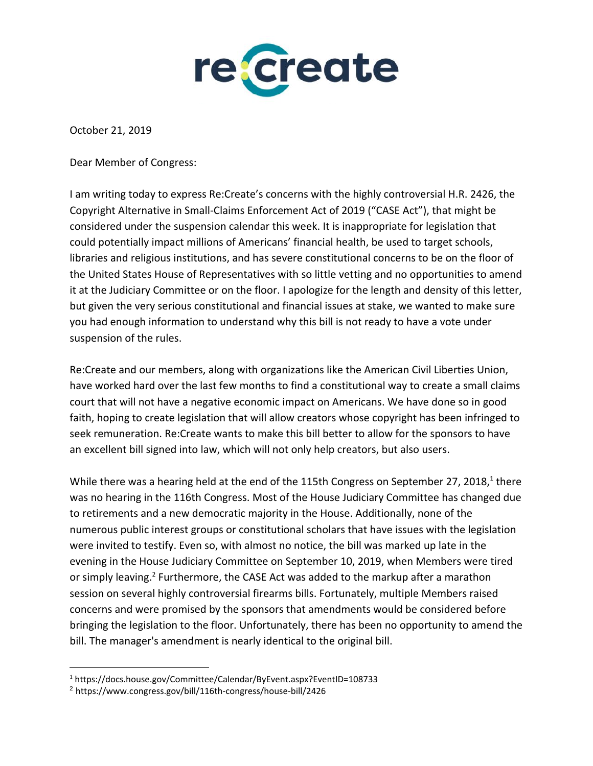

October 21, 2019

Dear Member of Congress:

I am writing today to express Re:Create's concerns with the highly controversial H.R. 2426, the Copyright Alternative in Small-Claims Enforcement Act of 2019 ("CASE Act"), that might be considered under the suspension calendar this week. It is inappropriate for legislation that could potentially impact millions of Americans' financial health, be used to target schools, libraries and religious institutions, and has severe constitutional concerns to be on the floor of the United States House of Representatives with so little vetting and no opportunities to amend it at the Judiciary Committee or on the floor. I apologize for the length and density of this letter, but given the very serious constitutional and financial issues at stake, we wanted to make sure you had enough information to understand why this bill is not ready to have a vote under suspension of the rules.

Re:Create and our members, along with organizations like the American Civil Liberties Union, have worked hard over the last few months to find a constitutional way to create a small claims court that will not have a negative economic impact on Americans. We have done so in good faith, hoping to create legislation that will allow creators whose copyright has been infringed to seek remuneration. Re:Create wants to make this bill better to allow for the sponsors to have an excellent bill signed into law, which will not only help creators, but also users.

While there was a hearing held at the end of the 115th Congress on September 27, 2018,<sup>1</sup> there was no hearing in the 116th Congress. Most of the House Judiciary Committee has changed due to retirements and a new democratic majority in the House. Additionally, none of the numerous public interest groups or constitutional scholars that have issues with the legislation were invited to testify. Even so, with almost no notice, the bill was marked up late in the evening in the House Judiciary Committee on September 10, 2019, when Members were tired or simply leaving.<sup>2</sup> Furthermore, the CASE Act was added to the markup after a marathon session on several highly controversial firearms bills. Fortunately, multiple Members raised concerns and were promised by the sponsors that amendments would be considered before bringing the legislation to the floor. Unfortunately, there has been no opportunity to amend the bill. The manager's amendment is nearly identical to the original bill.

<sup>1</sup> https://docs.house.gov/Committee/Calendar/ByEvent.aspx?EventID=108733

<sup>2</sup> https://www.congress.gov/bill/116th-congress/house-bill/2426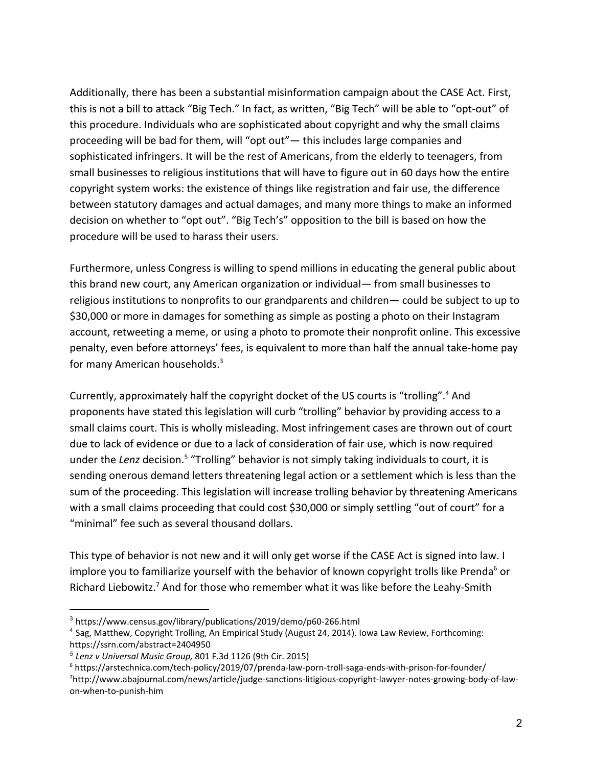Additionally, there has been a substantial misinformation campaign about the CASE Act. First, this is not a bill to attack "Big Tech." In fact, as written, "Big Tech" will be able to "opt-out" of this procedure. Individuals who are sophisticated about copyright and why the small claims proceeding will be bad for them, will "opt out"— this includes large companies and sophisticated infringers. It will be the rest of Americans, from the elderly to teenagers, from small businesses to religious institutions that will have to figure out in 60 days how the entire copyright system works: the existence of things like registration and fair use, the difference between statutory damages and actual damages, and many more things to make an informed decision on whether to "opt out". "Big Tech's" opposition to the bill is based on how the procedure will be used to harass their users.

Furthermore, unless Congress is willing to spend millions in educating the general public about this brand new court, any American organization or individual— from small businesses to religious institutions to nonprofits to our grandparents and children— could be subject to up to \$30,000 or more in damages for something as simple as posting a photo on their Instagram account, retweeting a meme, or using a photo to promote their nonprofit online. This excessive penalty, even before attorneys' fees, is equivalent to more than half the annual take-home pay for many American households.<sup>3</sup>

Currently, approximately half the copyright docket of the US courts is "trolling".<sup>4</sup> And proponents have stated this legislation will curb "trolling" behavior by providing access to a small claims court. This is wholly misleading. Most infringement cases are thrown out of court due to lack of evidence or due to a lack of consideration of fair use, which is now required under the *Lenz* decision.<sup>5</sup> "Trolling" behavior is not simply taking individuals to court, it is sending onerous demand letters threatening legal action or a settlement which is less than the sum of the proceeding. This legislation will increase trolling behavior by threatening Americans with a small claims proceeding that could cost \$30,000 or simply settling "out of court" for a "minimal" fee such as several thousand dollars.

This type of behavior is not new and it will only get worse if the CASE Act is signed into law. I implore you to familiarize yourself with the behavior of known copyright trolls like Prenda<sup>6</sup> or Richard Liebowitz.<sup>7</sup> And for those who remember what it was like before the Leahy-Smith

<sup>3</sup> https://www.census.gov/library/publications/2019/demo/p60-266.html

<sup>4</sup> Sag, Matthew, Copyright Trolling, An Empirical Study (August 24, 2014). Iowa Law Review, Forthcoming: https://ssrn.com/abstract=2404950

*<sup>5</sup> Lenz v Universal Music Group,* 801 F.3d 1126 (9th Cir. 2015)

<sup>6</sup> https://arstechnica.com/tech-policy/2019/07/prenda-law-porn-troll-saga-ends-with-prison-for-founder/ 7http://www.abajournal.com/news/article/judge-sanctions-litigious-copyright-lawyer-notes-growing-body-of-lawon-when-to-punish-him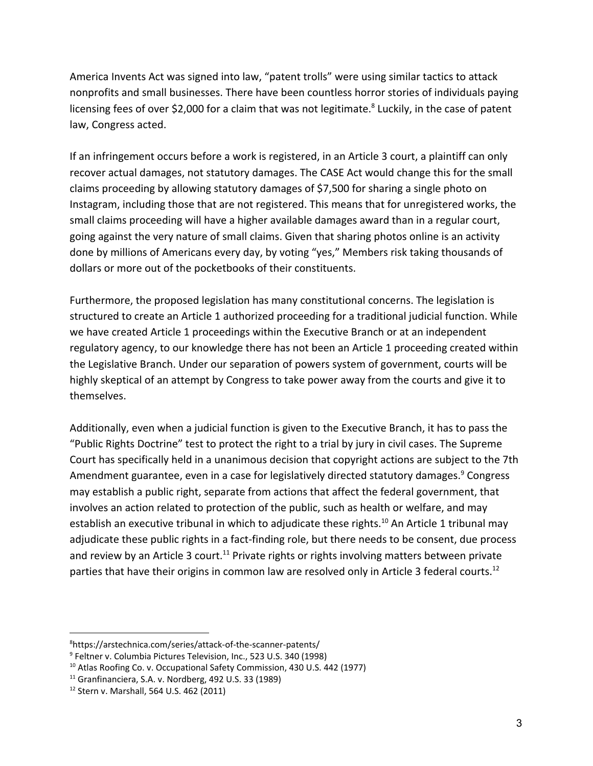America Invents Act was signed into law, "patent trolls" were using similar tactics to attack nonprofits and small businesses. There have been countless horror stories of individuals paying licensing fees of over \$2,000 for a claim that was not legitimate.<sup>8</sup> Luckily, in the case of patent law, Congress acted.

If an infringement occurs before a work is registered, in an Article 3 court, a plaintiff can only recover actual damages, not statutory damages. The CASE Act would change this for the small claims proceeding by allowing statutory damages of \$7,500 for sharing a single photo on Instagram, including those that are not registered. This means that for unregistered works, the small claims proceeding will have a higher available damages award than in a regular court, going against the very nature of small claims. Given that sharing photos online is an activity done by millions of Americans every day, by voting "yes," Members risk taking thousands of dollars or more out of the pocketbooks of their constituents.

Furthermore, the proposed legislation has many constitutional concerns. The legislation is structured to create an Article 1 authorized proceeding for a traditional judicial function. While we have created Article 1 proceedings within the Executive Branch or at an independent regulatory agency, to our knowledge there has not been an Article 1 proceeding created within the Legislative Branch. Under our separation of powers system of government, courts will be highly skeptical of an attempt by Congress to take power away from the courts and give it to themselves.

Additionally, even when a judicial function is given to the Executive Branch, it has to pass the "Public Rights Doctrine" test to protect the right to a trial by jury in civil cases. The Supreme Court has specifically held in a unanimous decision that copyright actions are subject to the 7th Amendment guarantee, even in a case for legislatively directed statutory damages.<sup>9</sup> Congress may establish a public right, separate from actions that affect the federal government, that involves an action related to protection of the public, such as health or welfare, and may establish an executive tribunal in which to adjudicate these rights.<sup>10</sup> An Article 1 tribunal may adjudicate these public rights in a fact-finding role, but there needs to be consent, due process and review by an Article 3 court.<sup>11</sup> Private rights or rights involving matters between private parties that have their origins in common law are resolved only in Article 3 federal courts.<sup>12</sup>

<sup>8</sup>https://arstechnica.com/series/attack-of-the-scanner-patents/

<sup>9</sup> Feltner v. Columbia Pictures [Television](https://en.wikipedia.org/wiki/Columbia_Pictures_Television), Inc., 523 U.S. 340 (1998)

<sup>&</sup>lt;sup>10</sup> Atlas Roofing Co. v. Occupational Safety Commission, 430 U.S. 442 (1977)

 $11$  Granfinanciera, S.A. v. Nordberg, 492 U.S. 33 (1989)

<sup>12</sup> Stern v. Marshall, 564 U.S. 462 (2011)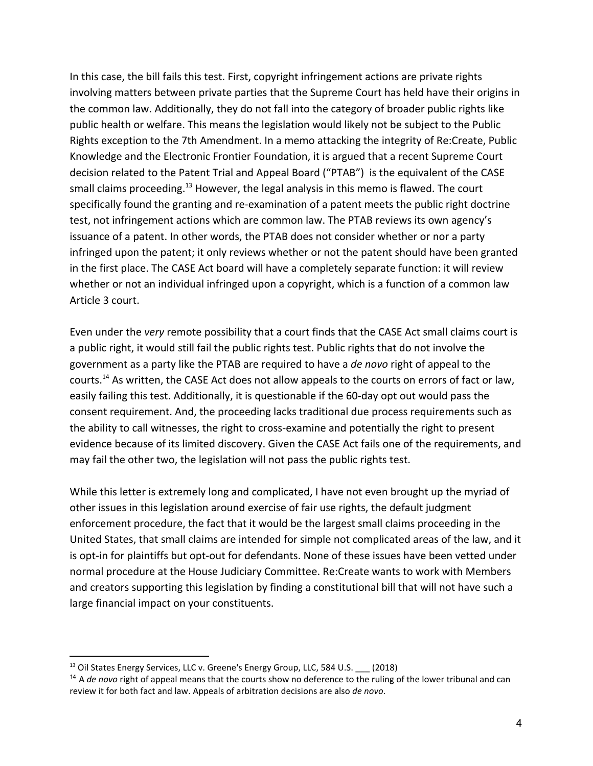In this case, the bill fails this test. First, copyright infringement actions are private rights involving matters between private parties that the Supreme Court has held have their origins in the common law. Additionally, they do not fall into the category of broader public rights like public health or welfare. This means the legislation would likely not be subject to the Public Rights exception to the 7th Amendment. In a memo attacking the integrity of Re:Create, Public Knowledge and the Electronic Frontier Foundation, it is argued that a recent Supreme Court decision related to the Patent Trial and Appeal Board ("PTAB") is the equivalent of the CASE small claims proceeding.<sup>13</sup> However, the legal analysis in this memo is flawed. The court specifically found the granting and re-examination of a patent meets the public right doctrine test, not infringement actions which are common law. The PTAB reviews its own agency's issuance of a patent. In other words, the PTAB does not consider whether or nor a party infringed upon the patent; it only reviews whether or not the patent should have been granted in the first place. The CASE Act board will have a completely separate function: it will review whether or not an individual infringed upon a copyright, which is a function of a common law Article 3 court.

Even under the *very* remote possibility that a court finds that the CASE Act small claims court is a public right, it would still fail the public rights test. Public rights that do not involve the government as a party like the PTAB are required to have a *de novo* right of appeal to the courts.<sup>14</sup> As written, the CASE Act does not allow appeals to the courts on errors of fact or law, easily failing this test. Additionally, it is questionable if the 60-day opt out would pass the consent requirement. And, the proceeding lacks traditional due process requirements such as the ability to call witnesses, the right to cross-examine and potentially the right to present evidence because of its limited discovery. Given the CASE Act fails one of the requirements, and may fail the other two, the legislation will not pass the public rights test.

While this letter is extremely long and complicated, I have not even brought up the myriad of other issues in this legislation around exercise of fair use rights, the default judgment enforcement procedure, the fact that it would be the largest small claims proceeding in the United States, that small claims are intended for simple not complicated areas of the law, and it is opt-in for plaintiffs but opt-out for defendants. None of these issues have been vetted under normal procedure at the House Judiciary Committee. Re:Create wants to work with Members and creators supporting this legislation by finding a constitutional bill that will not have such a large financial impact on your constituents.

<sup>&</sup>lt;sup>13</sup> Oil States Energy Services, LLC v. Greene's Energy Group, LLC, 584 U.S. \_\_\_ (2018)

<sup>14</sup> A *de novo* right of appeal means that the courts show no deference to the ruling of the lower tribunal and can review it for both fact and law. Appeals of arbitration decisions are also *de novo*.